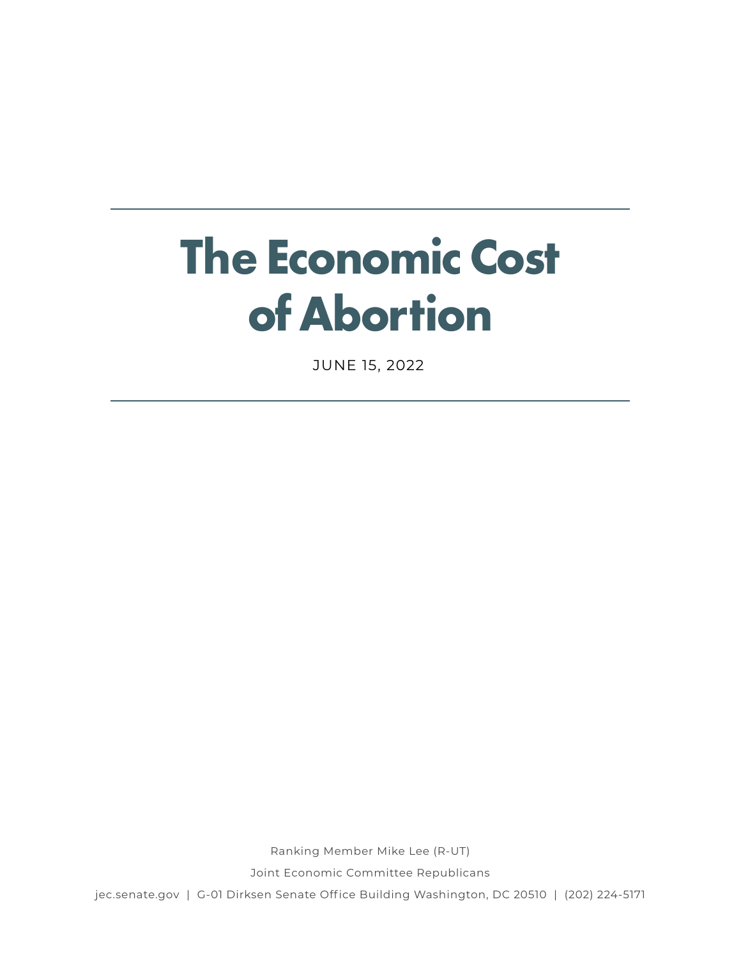# **The Economic Cost of Abortion**

JUNE 15, 2022

Ranking Member Mike Lee (R-UT)

Joint Economic Committee Republicans

jec.senate.gov | G-01 Dirksen Senate Office Building Washington, DC 20510 | (202) 224-5171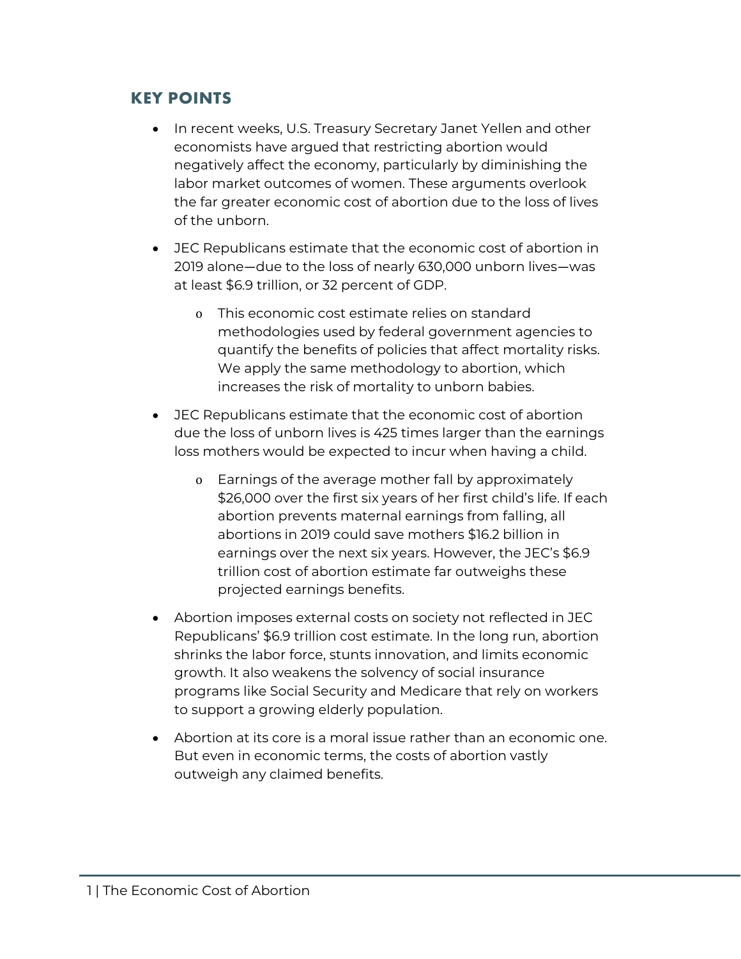## **KEY POINTS**

- In recent weeks, U.S. Treasury Secretary Janet Yellen and other economists have argued that restricting abortion would negatively affect the economy, particularly by diminishing the labor market outcomes of women. These arguments overlook the far greater economic cost of abortion due to the loss of lives of the unborn.
- JEC Republicans estimate that the economic cost of abortion in 2019 alone—due to the loss of nearly 630,000 unborn lives—was at least \$6.9 trillion, or 32 percent of GDP.
	- o This economic cost estimate relies on standard methodologies used by federal government agencies to quantify the benefits of policies that affect mortality risks. We apply the same methodology to abortion, which increases the risk of mortality to unborn babies.
- JEC Republicans estimate that the economic cost of abortion due the loss of unborn lives is 425 times larger than the earnings loss mothers would be expected to incur when having a child.
	- o Earnings of the average mother fall by approximately \$26,000 over the first six years of her first child's life. If each abortion prevents maternal earnings from falling, all abortions in 2019 could save mothers \$16.2 billion in earnings over the next six years. However, the JEC's \$6.9 trillion cost of abortion estimate far outweighs these projected earnings benefits.
- Abortion imposes external costs on society not reflected in JEC Republicans' \$6.9 trillion cost estimate. In the long run, abortion shrinks the labor force, stunts innovation, and limits economic growth. It also weakens the solvency of social insurance programs like Social Security and Medicare that rely on workers to support a growing elderly population.
- Abortion at its core is a moral issue rather than an economic one. But even in economic terms, the costs of abortion vastly outweigh any claimed benefits.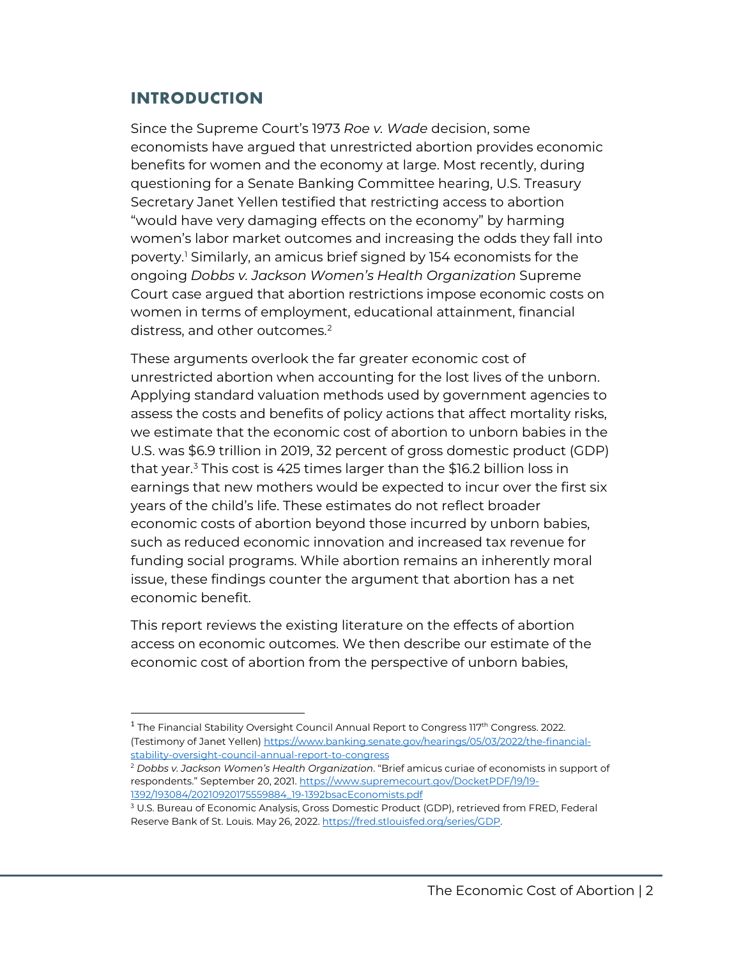## **INTRODUCTION**

Since the Supreme Court's 1973 *Roe v. Wade* decision, some economists have argued that unrestricted abortion provides economic benefits for women and the economy at large. Most recently, during questioning for a Senate Banking Committee hearing, U.S. Treasury Secretary Janet Yellen testified that restricting access to abortion "would have very damaging effects on the economy" by harming women's labor market outcomes and increasing the odds they fall into poverty.[1](#page-2-0) Similarly, an amicus brief signed by 154 economists for the ongoing *Dobbs v. Jackson Women's Health Organization* Supreme Court case argued that abortion restrictions impose economic costs on women in terms of employment, educational attainment, financial distress, and other outcomes.<sup>[2](#page-2-1)</sup>

These arguments overlook the far greater economic cost of unrestricted abortion when accounting for the lost lives of the unborn. Applying standard valuation methods used by government agencies to assess the costs and benefits of policy actions that affect mortality risks, we estimate that the economic cost of abortion to unborn babies in the U.S. was \$6.9 trillion in 2019, 32 percent of gross domestic product (GDP) that year.<sup>[3](#page-2-2)</sup> This cost is 425 times larger than the \$16.2 billion loss in earnings that new mothers would be expected to incur over the first six years of the child's life. These estimates do not reflect broader economic costs of abortion beyond those incurred by unborn babies, such as reduced economic innovation and increased tax revenue for funding social programs. While abortion remains an inherently moral issue, these findings counter the argument that abortion has a net economic benefit.

This report reviews the existing literature on the effects of abortion access on economic outcomes. We then describe our estimate of the economic cost of abortion from the perspective of unborn babies,

<span id="page-2-0"></span> $1$  The Financial Stability Oversight Council Annual Report to Congress 117<sup>th</sup> Congress. 2022. (Testimony of Janet Yellen[\) https://www.banking.senate.gov/hearings/05/03/2022/the-financial](https://www.banking.senate.gov/hearings/05/03/2022/the-financial-stability-oversight-council-annual-report-to-congress)[stability-oversight-council-annual-report-to-congress](https://www.banking.senate.gov/hearings/05/03/2022/the-financial-stability-oversight-council-annual-report-to-congress)

<span id="page-2-1"></span><sup>2</sup> *Dobbs v. Jackson Women's Health Organization*. "Brief amicus curiae of economists in support of respondents." September 20, 2021[. https://www.supremecourt.gov/DocketPDF/19/19-](https://www.supremecourt.gov/DocketPDF/19/19-1392/193084/20210920175559884_19-1392bsacEconomists.pdf) [1392/193084/20210920175559884\\_19-1392bsacEconomists.pdf](https://www.supremecourt.gov/DocketPDF/19/19-1392/193084/20210920175559884_19-1392bsacEconomists.pdf)

<span id="page-2-2"></span><sup>3</sup> U.S. Bureau of Economic Analysis, Gross Domestic Product (GDP), retrieved from FRED, Federal Reserve Bank of St. Louis. May 26, 2022[. https://fred.stlouisfed.org/series/GDP.](https://fred.stlouisfed.org/series/GDP)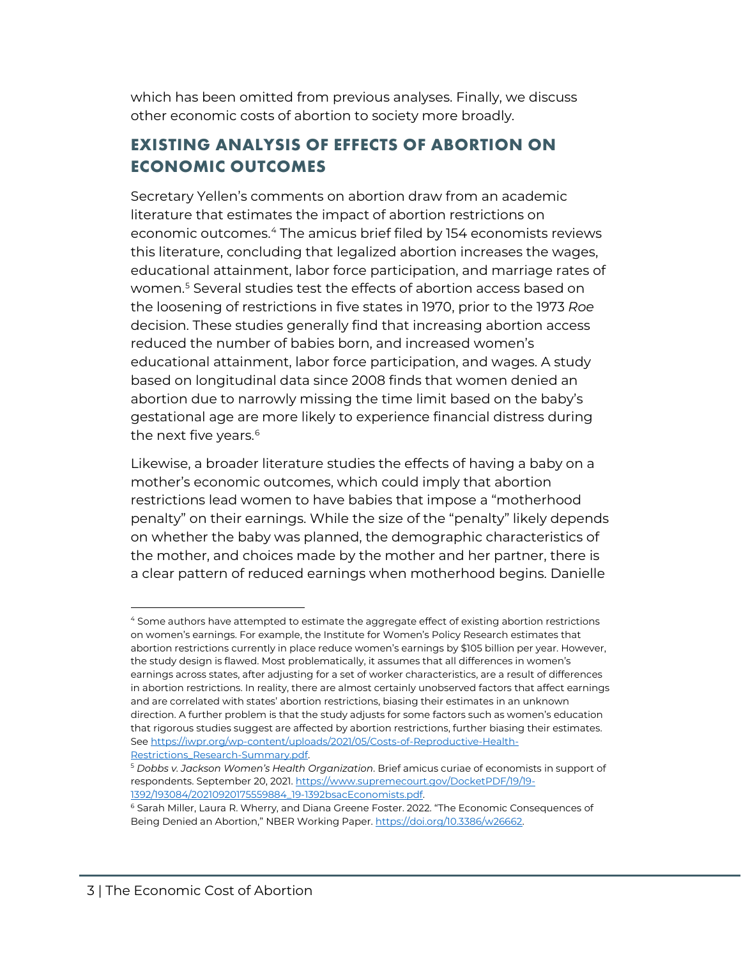which has been omitted from previous analyses. Finally, we discuss other economic costs of abortion to society more broadly.

# **EXISTING ANALYSIS OF EFFECTS OF ABORTION ON ECONOMIC OUTCOMES**

Secretary Yellen's comments on abortion draw from an academic literature that estimates the impact of abortion restrictions on economic outcomes.<sup>[4](#page-3-0)</sup> The amicus brief filed by 154 economists reviews this literature, concluding that legalized abortion increases the wages, educational attainment, labor force participation, and marriage rates of women.<sup>[5](#page-3-1)</sup> Several studies test the effects of abortion access based on the loosening of restrictions in five states in 1970, prior to the 1973 *Roe* decision. These studies generally find that increasing abortion access reduced the number of babies born, and increased women's educational attainment, labor force participation, and wages. A study based on longitudinal data since 2008 finds that women denied an abortion due to narrowly missing the time limit based on the baby's gestational age are more likely to experience financial distress during the next five years.<sup>[6](#page-3-2)</sup>

Likewise, a broader literature studies the effects of having a baby on a mother's economic outcomes, which could imply that abortion restrictions lead women to have babies that impose a "motherhood penalty" on their earnings. While the size of the "penalty" likely depends on whether the baby was planned, the demographic characteristics of the mother, and choices made by the mother and her partner, there is a clear pattern of reduced earnings when motherhood begins. Danielle

l

<span id="page-3-0"></span><sup>4</sup> Some authors have attempted to estimate the aggregate effect of existing abortion restrictions on women's earnings. For example, the Institute for Women's Policy Research estimates that abortion restrictions currently in place reduce women's earnings by \$105 billion per year. However, the study design is flawed. Most problematically, it assumes that all differences in women's earnings across states, after adjusting for a set of worker characteristics, are a result of differences in abortion restrictions. In reality, there are almost certainly unobserved factors that affect earnings and are correlated with states' abortion restrictions, biasing their estimates in an unknown direction. A further problem is that the study adjusts for some factors such as women's education that rigorous studies suggest are affected by abortion restrictions, further biasing their estimates. Se[e https://iwpr.org/wp-content/uploads/2021/05/Costs-of-Reproductive-Health-](https://iwpr.org/wp-content/uploads/2021/05/Costs-of-Reproductive-Health-Restrictions_Research-Summary.pdf)[Restrictions\\_Research-Summary.pdf.](https://iwpr.org/wp-content/uploads/2021/05/Costs-of-Reproductive-Health-Restrictions_Research-Summary.pdf)

<span id="page-3-1"></span><sup>5</sup> *Dobbs v. Jackson Women's Health Organization*. Brief amicus curiae of economists in support of respondents. September 20, 2021[. https://www.supremecourt.gov/DocketPDF/19/19-](https://www.supremecourt.gov/DocketPDF/19/19-1392/193084/20210920175559884_19-1392bsacEconomists.pdf) [1392/193084/20210920175559884\\_19-1392bsacEconomists.pdf.](https://www.supremecourt.gov/DocketPDF/19/19-1392/193084/20210920175559884_19-1392bsacEconomists.pdf) 

<span id="page-3-2"></span><sup>6</sup> Sarah Miller, Laura R. Wherry, and Diana Greene Foster. 2022. "The Economic Consequences of Being Denied an Abortion," NBER Working Paper[. https://doi.org/10.3386/w26662.](https://doi.org/10.3386/w26662)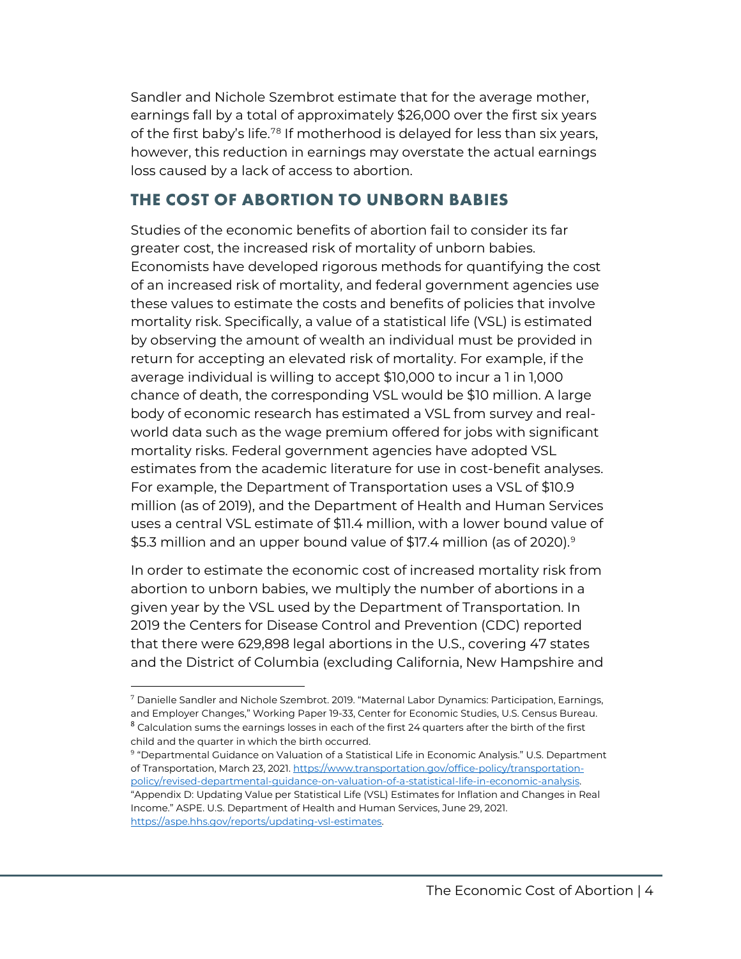Sandler and Nichole Szembrot estimate that for the average mother, earnings fall by a total of approximately \$26,000 over the first six years of the first baby's life.<sup>[7](#page-4-0)[8](#page-4-1)</sup> If motherhood is delayed for less than six years, however, this reduction in earnings may overstate the actual earnings loss caused by a lack of access to abortion.

## **THE COST OF ABORTION TO UNBORN BABIES**

Studies of the economic benefits of abortion fail to consider its far greater cost, the increased risk of mortality of unborn babies. Economists have developed rigorous methods for quantifying the cost of an increased risk of mortality, and federal government agencies use these values to estimate the costs and benefits of policies that involve mortality risk. Specifically, a value of a statistical life (VSL) is estimated by observing the amount of wealth an individual must be provided in return for accepting an elevated risk of mortality. For example, if the average individual is willing to accept \$10,000 to incur a 1 in 1,000 chance of death, the corresponding VSL would be \$10 million. A large body of economic research has estimated a VSL from survey and realworld data such as the wage premium offered for jobs with significant mortality risks. Federal government agencies have adopted VSL estimates from the academic literature for use in cost-benefit analyses. For example, the Department of Transportation uses a VSL of \$10.9 million (as of 2019), and the Department of Health and Human Services uses a central VSL estimate of \$11.4 million, with a lower bound value of \$5.3 million and an upper bound value of \$17.4 million (as of 2020).<sup>[9](#page-4-2)</sup>

In order to estimate the economic cost of increased mortality risk from abortion to unborn babies, we multiply the number of abortions in a given year by the VSL used by the Department of Transportation. In 2019 the Centers for Disease Control and Prevention (CDC) reported that there were 629,898 legal abortions in the U.S., covering 47 states and the District of Columbia (excluding California, New Hampshire and

 $\overline{\phantom{a}}$ 

<span id="page-4-1"></span><span id="page-4-0"></span><sup>7</sup> Danielle Sandler and Nichole Szembrot. 2019. "Maternal Labor Dynamics: Participation, Earnings, and Employer Changes," Working Paper 19-33, Center for Economic Studies, U.S. Census Bureau.  $8$  Calculation sums the earnings losses in each of the first 24 quarters after the birth of the first child and the quarter in which the birth occurred.

<span id="page-4-2"></span><sup>9</sup> "Departmental Guidance on Valuation of a Statistical Life in Economic Analysis." U.S. Department of Transportation, March 23, 2021[. https://www.transportation.gov/office-policy/transportation](https://www.transportation.gov/office-policy/transportation-policy/revised-departmental-guidance-on-valuation-of-a-statistical-life-in-economic-analysis)[policy/revised-departmental-guidance-on-valuation-of-a-statistical-life-in-economic-analysis.](https://www.transportation.gov/office-policy/transportation-policy/revised-departmental-guidance-on-valuation-of-a-statistical-life-in-economic-analysis) "Appendix D: Updating Value per Statistical Life (VSL) Estimates for Inflation and Changes in Real Income." ASPE. U.S. Department of Health and Human Services, June 29, 2021. [https://aspe.hhs.gov/reports/updating-vsl-estimates.](https://aspe.hhs.gov/reports/updating-vsl-estimates)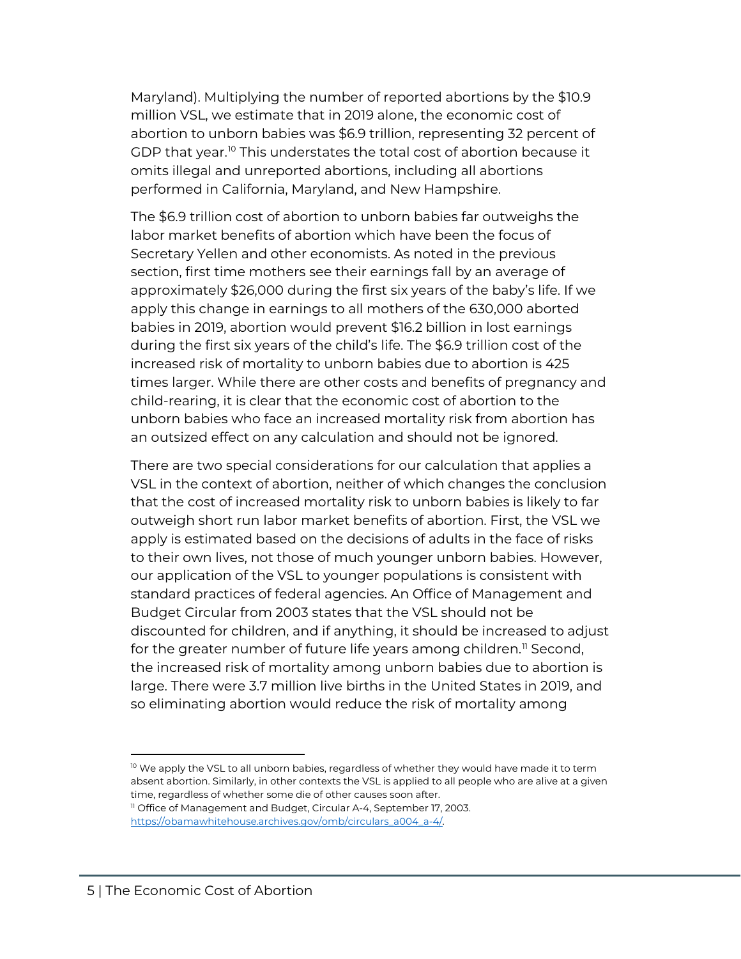Maryland). Multiplying the number of reported abortions by the \$10.9 million VSL, we estimate that in 2019 alone, the economic cost of abortion to unborn babies was \$6.9 trillion, representing 32 percent of GDP that year.<sup>[10](#page-5-0)</sup> This understates the total cost of abortion because it omits illegal and unreported abortions, including all abortions performed in California, Maryland, and New Hampshire.

The \$6.9 trillion cost of abortion to unborn babies far outweighs the labor market benefits of abortion which have been the focus of Secretary Yellen and other economists. As noted in the previous section, first time mothers see their earnings fall by an average of approximately \$26,000 during the first six years of the baby's life. If we apply this change in earnings to all mothers of the 630,000 aborted babies in 2019, abortion would prevent \$16.2 billion in lost earnings during the first six years of the child's life. The \$6.9 trillion cost of the increased risk of mortality to unborn babies due to abortion is 425 times larger. While there are other costs and benefits of pregnancy and child-rearing, it is clear that the economic cost of abortion to the unborn babies who face an increased mortality risk from abortion has an outsized effect on any calculation and should not be ignored.

There are two special considerations for our calculation that applies a VSL in the context of abortion, neither of which changes the conclusion that the cost of increased mortality risk to unborn babies is likely to far outweigh short run labor market benefits of abortion. First, the VSL we apply is estimated based on the decisions of adults in the face of risks to their own lives, not those of much younger unborn babies. However, our application of the VSL to younger populations is consistent with standard practices of federal agencies. An Office of Management and Budget Circular from 2003 states that the VSL should not be discounted for children, and if anything, it should be increased to adjust for the greater number of future life years among children.<sup>[11](#page-5-1)</sup> Second, the increased risk of mortality among unborn babies due to abortion is large. There were 3.7 million live births in the United States in 2019, and so eliminating abortion would reduce the risk of mortality among

 $\overline{\phantom{a}}$ 

<span id="page-5-0"></span> $10$  We apply the VSL to all unborn babies, regardless of whether they would have made it to term absent abortion. Similarly, in other contexts the VSL is applied to all people who are alive at a given time, regardless of whether some die of other causes soon after.

<span id="page-5-1"></span><sup>&</sup>lt;sup>11</sup> Office of Management and Budget, Circular A-4, September 17, 2003. [https://obamawhitehouse.archives.gov/omb/circulars\\_a004\\_a-4/.](https://obamawhitehouse.archives.gov/omb/circulars_a004_a-4/)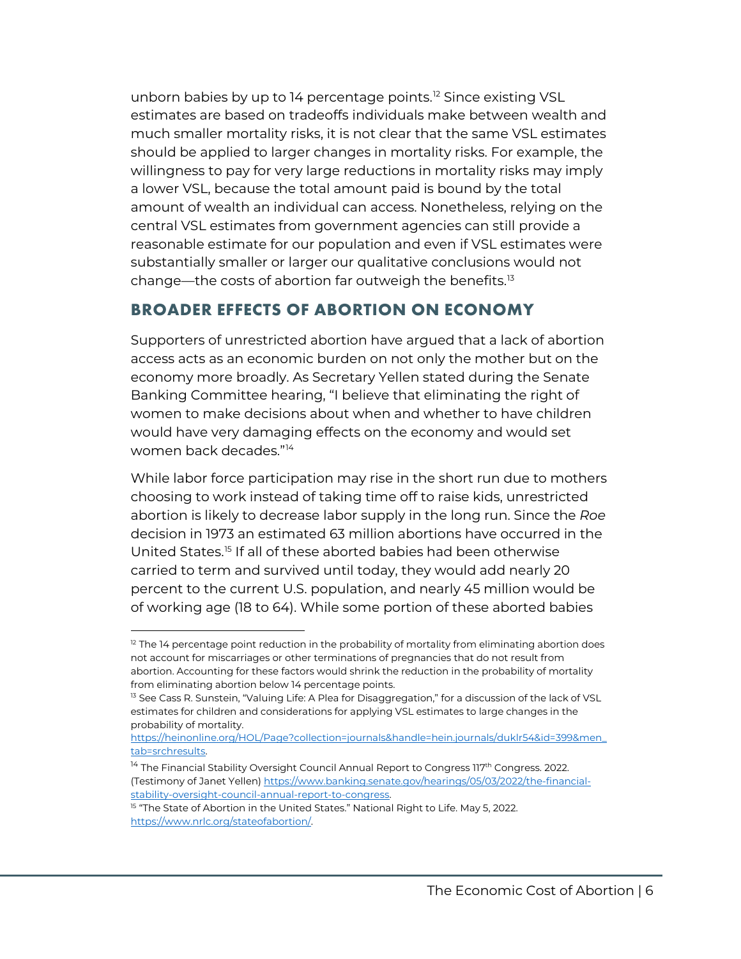unborn babies by up to 14 percentage points.<sup>[12](#page-6-0)</sup> Since existing VSL estimates are based on tradeoffs individuals make between wealth and much smaller mortality risks, it is not clear that the same VSL estimates should be applied to larger changes in mortality risks. For example, the willingness to pay for very large reductions in mortality risks may imply a lower VSL, because the total amount paid is bound by the total amount of wealth an individual can access. Nonetheless, relying on the central VSL estimates from government agencies can still provide a reasonable estimate for our population and even if VSL estimates were substantially smaller or larger our qualitative conclusions would not change—the costs of abortion far outweigh the benefits.<sup>[13](#page-6-1)</sup>

#### **BROADER EFFECTS OF ABORTION ON ECONOMY**

Supporters of unrestricted abortion have argued that a lack of abortion access acts as an economic burden on not only the mother but on the economy more broadly. As Secretary Yellen stated during the Senate Banking Committee hearing, "I believe that eliminating the right of women to make decisions about when and whether to have children would have very damaging effects on the economy and would set women back decades."[14](#page-6-2)

While labor force participation may rise in the short run due to mothers choosing to work instead of taking time off to raise kids, unrestricted abortion is likely to decrease labor supply in the long run. Since the *Roe* decision in 1973 an estimated 63 million abortions have occurred in the United States.[15](#page-6-3) If all of these aborted babies had been otherwise carried to term and survived until today, they would add nearly 20 percent to the current U.S. population, and nearly 45 million would be of working age (18 to 64). While some portion of these aborted babies

 $\overline{\phantom{a}}$ 

<span id="page-6-0"></span><sup>&</sup>lt;sup>12</sup> The 14 percentage point reduction in the probability of mortality from eliminating abortion does not account for miscarriages or other terminations of pregnancies that do not result from abortion. Accounting for these factors would shrink the reduction in the probability of mortality from eliminating abortion below 14 percentage points.

<span id="page-6-1"></span><sup>&</sup>lt;sup>13</sup> See Cass R. Sunstein, "Valuing Life: A Plea for Disaggregation," for a discussion of the lack of VSL estimates for children and considerations for applying VSL estimates to large changes in the probability of mortality.

[https://heinonline.org/HOL/Page?collection=journals&handle=hein.journals/duklr54&id=399&men\\_](https://heinonline.org/HOL/Page?collection=journals&handle=hein.journals/duklr54&id=399&men_tab=srchresults) [tab=srchresults.](https://heinonline.org/HOL/Page?collection=journals&handle=hein.journals/duklr54&id=399&men_tab=srchresults) 

<span id="page-6-2"></span><sup>&</sup>lt;sup>14</sup> The Financial Stability Oversight Council Annual Report to Congress 117<sup>th</sup> Congress. 2022. (Testimony of Janet Yellen[\) https://www.banking.senate.gov/hearings/05/03/2022/the-financial](https://www.banking.senate.gov/hearings/05/03/2022/the-financial-stability-oversight-council-annual-report-to-congress)[stability-oversight-council-annual-report-to-congress.](https://www.banking.senate.gov/hearings/05/03/2022/the-financial-stability-oversight-council-annual-report-to-congress) 

<span id="page-6-3"></span><sup>&</sup>lt;sup>15</sup> "The State of Abortion in the United States." National Right to Life. May 5, 2022. [https://www.nrlc.org/stateofabortion/.](https://www.nrlc.org/stateofabortion/)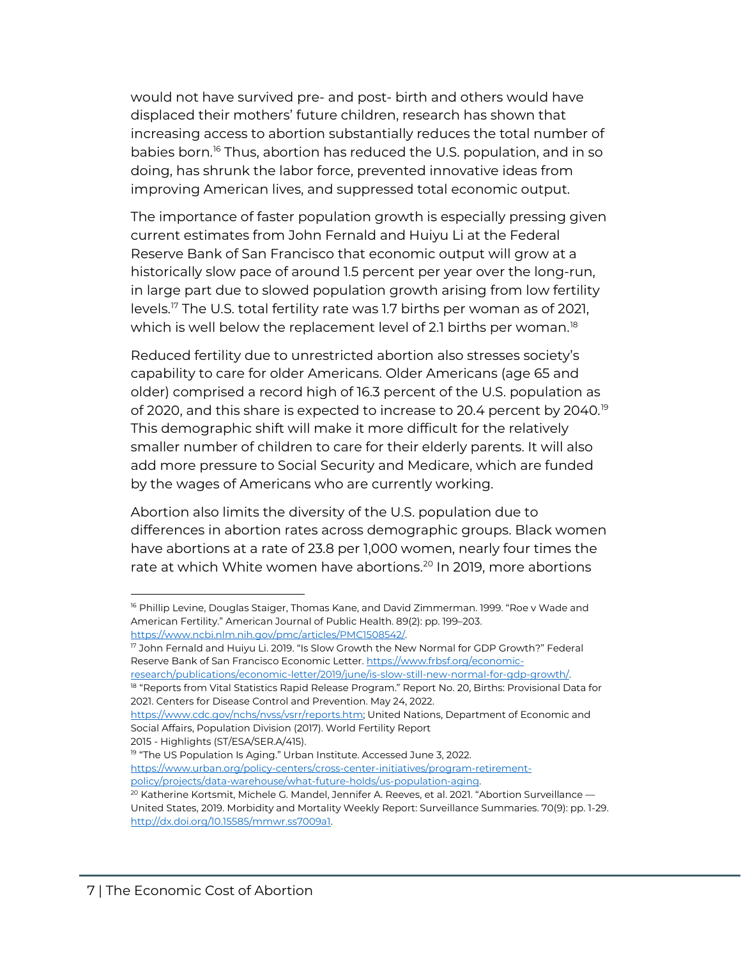would not have survived pre- and post- birth and others would have displaced their mothers' future children, research has shown that increasing access to abortion substantially reduces the total number of babies born.<sup>[16](#page-7-0)</sup> Thus, abortion has reduced the U.S. population, and in so doing, has shrunk the labor force, prevented innovative ideas from improving American lives, and suppressed total economic output.

The importance of faster population growth is especially pressing given current estimates from John Fernald and Huiyu Li at the Federal Reserve Bank of San Francisco that economic output will grow at a historically slow pace of around 1.5 percent per year over the long-run, in large part due to slowed population growth arising from low fertility levels.[17](#page-7-1) The U.S. total fertility rate was 1.7 births per woman as of 2021, which is well below the replacement level of 2.1 births per woman.<sup>[18](#page-7-2)</sup>

Reduced fertility due to unrestricted abortion also stresses society's capability to care for older Americans. Older Americans (age 65 and older) comprised a record high of 16.3 percent of the U.S. population as of 2020, and this share is expected to increase to 20.4 percent by 2040.<sup>[19](#page-7-3)</sup> This demographic shift will make it more difficult for the relatively smaller number of children to care for their elderly parents. It will also add more pressure to Social Security and Medicare, which are funded by the wages of Americans who are currently working.

Abortion also limits the diversity of the U.S. population due to differences in abortion rates across demographic groups. Black women have abortions at a rate of 23.8 per 1,000 women, nearly four times the rate at which White women have abortions.<sup>[20](#page-7-4)</sup> In 2019, more abortions

<span id="page-7-2"></span>research/publications/economic-letter/2019/june/is-slow-still-new-normal-for-gdp-growth/.<br><sup>18</sup> "Reports from Vital Statistics Rapid Release Program." Report No. 20, Births: Provisional Data for 2021. Centers for Disease Control and Prevention. May 24, 2022.

```
https://www.cdc.gov/nchs/nvss/vsrr/reports.htm; United Nations, Department of Economic and 
Social Affairs, Population Division (2017). World Fertility Report
```
2015 - Highlights (ST/ESA/SER.A/415).

 $\overline{\phantom{a}}$ 

<span id="page-7-3"></span><sup>19</sup> "The US Population Is Aging." Urban Institute. Accessed June 3, 2022. [https://www.urban.org/policy-centers/cross-center-initiatives/program-retirement](https://www.urban.org/policy-centers/cross-center-initiatives/program-retirement-policy/projects/data-warehouse/what-future-holds/us-population-aging)[policy/projects/data-warehouse/what-future-holds/us-population-aging.](https://www.urban.org/policy-centers/cross-center-initiatives/program-retirement-policy/projects/data-warehouse/what-future-holds/us-population-aging)

<span id="page-7-0"></span><sup>&</sup>lt;sup>16</sup> Phillip Levine, Douglas Staiger, Thomas Kane, and David Zimmerman. 1999. "Roe v Wade and American Fertility." American Journal of Public Health. 89(2): pp. 199–203. [https://www.ncbi.nlm.nih.gov/pmc/articles/PMC1508542/.](https://www.ncbi.nlm.nih.gov/pmc/articles/PMC1508542/) 

<span id="page-7-1"></span><sup>&</sup>lt;sup>17</sup> John Fernald and Huiyu Li. 2019. "Is Slow Growth the New Normal for GDP Growth?" Federal Reserve Bank of San Francisco Economic Letter. [https://www.frbsf.org/economic-](https://www.frbsf.org/economic-research/publications/economic-letter/2019/june/is-slow-still-new-normal-for-gdp-growth/)

<span id="page-7-4"></span> $20$  Katherine Kortsmit, Michele G. Mandel, Jennifer A. Reeves, et al. 2021. "Abortion Surveillance  $-$ United States, 2019. Morbidity and Mortality Weekly Report: Surveillance Summaries. 70(9): pp. 1-29. [http://dx.doi.org/10.15585/mmwr.ss7009a1.](http://dx.doi.org/10.15585/mmwr.ss7009a1)